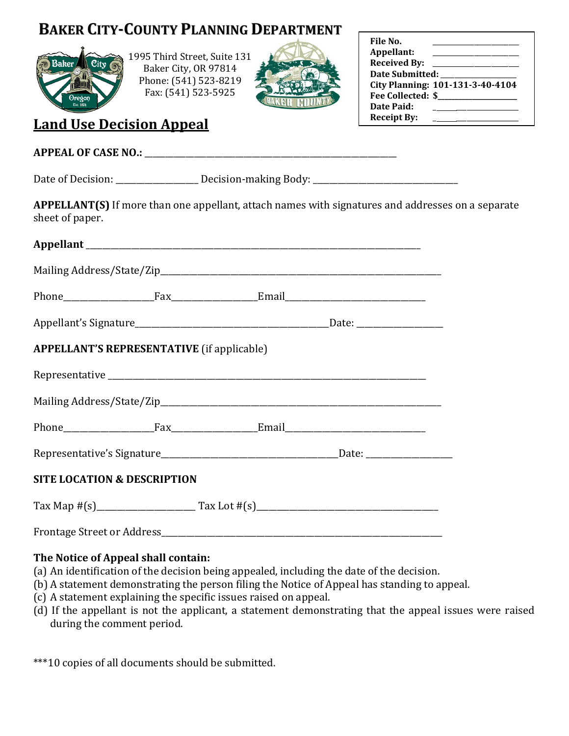## **BAKER CITY-COUNTY PLANNING DEPARTMENT**



1995 Third Street, Suite 131 Baker City, OR 97814 Phone: (541) 523-8219 Fax: (541) 523-5925



| File No.<br>Appellant:   |                                  |  |  |  |  |
|--------------------------|----------------------------------|--|--|--|--|
| <b>Received By:</b>      |                                  |  |  |  |  |
| <b>Date Submitted:</b>   |                                  |  |  |  |  |
|                          | City Planning: 101-131-3-40-4104 |  |  |  |  |
| <b>Fee Collected: \$</b> |                                  |  |  |  |  |
| Date Paid:               |                                  |  |  |  |  |
| <b>Receipt By:</b>       |                                  |  |  |  |  |

## **Land Use Decision Appeal**

| APPELLANT(S) If more than one appellant, attach names with signatures and addresses on a separate<br>sheet of paper. |  |  |
|----------------------------------------------------------------------------------------------------------------------|--|--|
|                                                                                                                      |  |  |
|                                                                                                                      |  |  |
|                                                                                                                      |  |  |
|                                                                                                                      |  |  |
| <b>APPELLANT'S REPRESENTATIVE</b> (if applicable)                                                                    |  |  |
|                                                                                                                      |  |  |
|                                                                                                                      |  |  |
|                                                                                                                      |  |  |
|                                                                                                                      |  |  |
| <b>SITE LOCATION &amp; DESCRIPTION</b>                                                                               |  |  |
|                                                                                                                      |  |  |
|                                                                                                                      |  |  |

## **The Notice of Appeal shall contain:**

- (a) An identification of the decision being appealed, including the date of the decision.
- (b) A statement demonstrating the person filing the Notice of Appeal has standing to appeal.
- (c) A statement explaining the specific issues raised on appeal.
- (d) If the appellant is not the applicant, a statement demonstrating that the appeal issues were raised during the comment period.

\*\*\*10 copies of all documents should be submitted.